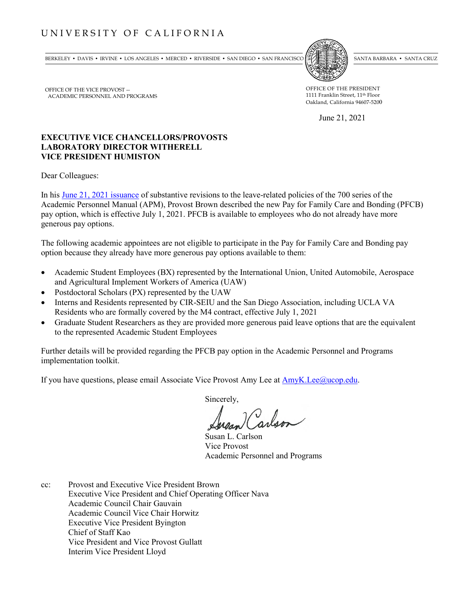## UNIVERSITY OF CALIFORNIA

BERKELEY • DAVIS • IRVINE • LOS ANGELES • MERCED • RIVERSIDE • SAN DIEGO • SAN FRANCISCO SANTA BARBARA • SANTA BARBARA • SANTA CRUZ



OFFICE OF THE PRESIDENT 1111 Franklin Street, 11th Floor Oakland, California 94607-5200

June 21, 2021

## **EXECUTIVE VICE CHANCELLORS/PROVOSTS LABORATORY DIRECTOR WITHERELL VICE PRESIDENT HUMISTON**

Dear Colleagues:

OFFICE OF THE VICE PROVOST --

ACADEMIC PERSONNEL AND PROGRAMS

In his [June 21, 2021 issuance](https://www.ucop.edu/academic-personnel-programs/academic-personnel-policy/policy-issuances-and-guidelines/index.html) of substantive revisions to the leave-related policies of the 700 series of the Academic Personnel Manual (APM), Provost Brown described the new Pay for Family Care and Bonding (PFCB) pay option, which is effective July 1, 2021. PFCB is available to employees who do not already have more generous pay options.

The following academic appointees are not eligible to participate in the Pay for Family Care and Bonding pay option because they already have more generous pay options available to them:

- Academic Student Employees (BX) represented by the International Union, United Automobile, Aerospace and Agricultural Implement Workers of America (UAW)
- Postdoctoral Scholars (PX) represented by the UAW
- Interns and Residents represented by CIR-SEIU and the San Diego Association, including UCLA VA Residents who are formally covered by the M4 contract, effective July 1, 2021
- Graduate Student Researchers as they are provided more generous paid leave options that are the equivalent to the represented Academic Student Employees

Further details will be provided regarding the PFCB pay option in the Academic Personnel and Programs implementation toolkit.

If you have questions, please email Associate Vice Provost Amy Lee at [AmyK.Lee@ucop.edu.](mailto:AmyK.Lee@ucop.edu)

Sincerely,

Susan L. Carlson Vice Provost Academic Personnel and Programs

cc: Provost and Executive Vice President Brown Executive Vice President and Chief Operating Officer Nava Academic Council Chair Gauvain Academic Council Vice Chair Horwitz Executive Vice President Byington Chief of Staff Kao Vice President and Vice Provost Gullatt Interim Vice President Lloyd